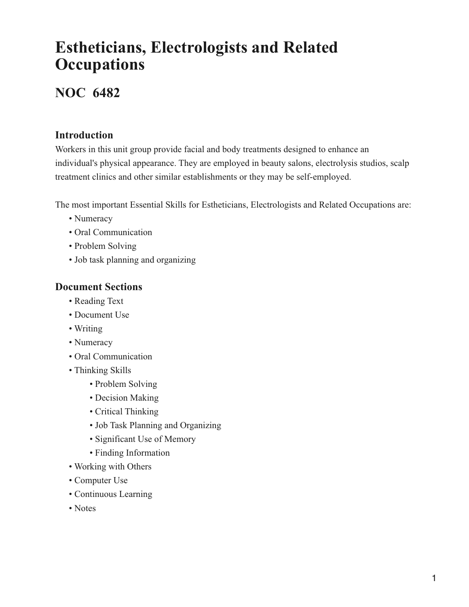# **Estheticians, Electrologists and Related Occupations**

## **NOC 6482**

### **Introduction**

Workers in this unit group provide facial and body treatments designed to enhance an individual's physical appearance. They are employed in beauty salons, electrolysis studios, scalp treatment clinics and other similar establishments or they may be self-employed.

The most important Essential Skills for Estheticians, Electrologists and Related Occupations are:

- Numeracy
- Oral Communication
- Problem Solving
- Job task planning and organizing

### **Document Sections**

- Reading Text
- Document Use
- Writing
- Numeracy
- Oral Communication
- Thinking Skills
	- Problem Solving
	- Decision Making
	- Critical Thinking
	- Job Task Planning and Organizing
	- Significant Use of Memory
	- Finding Information
- Working with Others
- Computer Use
- Continuous Learning
- Notes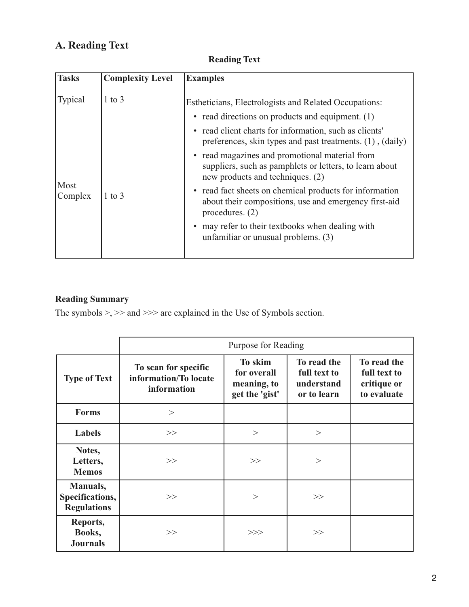## **A. Reading Text**

### **Reading Text**

| <b>Tasks</b>    | <b>Complexity Level</b> | <b>Examples</b>                                                                                                                               |
|-----------------|-------------------------|-----------------------------------------------------------------------------------------------------------------------------------------------|
| <b>Typical</b>  | $1$ to $3$              | Estheticians, Electrologists and Related Occupations:                                                                                         |
|                 |                         | • read directions on products and equipment. (1)                                                                                              |
| Most<br>Complex |                         | • read client charts for information, such as clients'<br>preferences, skin types and past treatments. (1), (daily)                           |
|                 | $1$ to $3$              | • read magazines and promotional material from<br>suppliers, such as pamphlets or letters, to learn about<br>new products and techniques. (2) |
|                 |                         | • read fact sheets on chemical products for information<br>about their compositions, use and emergency first-aid<br>procedures. $(2)$         |
|                 |                         | may refer to their textbooks when dealing with<br>unfamiliar or unusual problems. (3)                                                         |

### **Reading Summary**

|                                                   | Purpose for Reading                                          |                                                         |                                                          |                                                           |  |  |
|---------------------------------------------------|--------------------------------------------------------------|---------------------------------------------------------|----------------------------------------------------------|-----------------------------------------------------------|--|--|
| <b>Type of Text</b>                               | To scan for specific<br>information/To locate<br>information | To skim<br>for overall<br>meaning, to<br>get the 'gist' | To read the<br>full text to<br>understand<br>or to learn | To read the<br>full text to<br>critique or<br>to evaluate |  |  |
| <b>Forms</b>                                      | >                                                            |                                                         |                                                          |                                                           |  |  |
| Labels                                            | >>                                                           | $\,>$                                                   | $\geq$                                                   |                                                           |  |  |
| Notes,<br>Letters,<br><b>Memos</b>                | >>                                                           | >>                                                      | >                                                        |                                                           |  |  |
| Manuals,<br>Specifications,<br><b>Regulations</b> | >>                                                           | >                                                       | >>                                                       |                                                           |  |  |
| Reports,<br>Books,<br><b>Journals</b>             | >>                                                           | >>                                                      | >>                                                       |                                                           |  |  |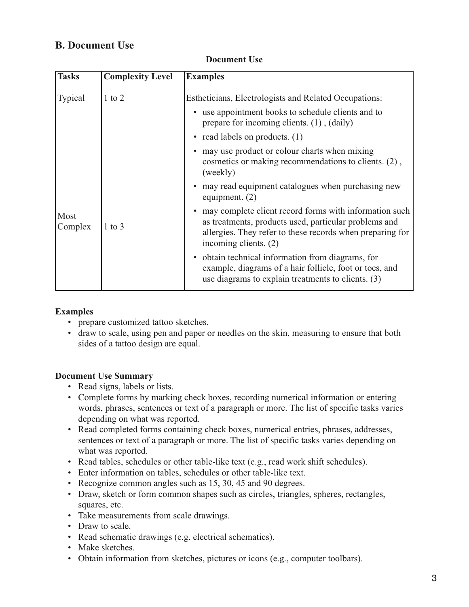### **B. Document Use**

| <b>Tasks</b>    | <b>Complexity Level</b> | <b>Examples</b>                                                                                                                                                                                         |
|-----------------|-------------------------|---------------------------------------------------------------------------------------------------------------------------------------------------------------------------------------------------------|
| <b>Typical</b>  | $1$ to $2$              | Estheticians, Electrologists and Related Occupations:<br>• use appointment books to schedule clients and to                                                                                             |
|                 |                         | prepare for incoming clients. (1), (daily)                                                                                                                                                              |
|                 |                         | • read labels on products. (1)                                                                                                                                                                          |
|                 |                         | • may use product or colour charts when mixing<br>cosmetics or making recommendations to clients. (2),<br>(weekly)                                                                                      |
| Most<br>Complex |                         | • may read equipment catalogues when purchasing new<br>equipment. $(2)$                                                                                                                                 |
|                 | $1$ to $3$              | • may complete client record forms with information such<br>as treatments, products used, particular problems and<br>allergies. They refer to these records when preparing for<br>incoming clients. (2) |
|                 |                         | • obtain technical information from diagrams, for<br>example, diagrams of a hair follicle, foot or toes, and<br>use diagrams to explain treatments to clients. (3)                                      |

#### **Document Use**

#### **Examples**

- prepare customized tattoo sketches.
- draw to scale, using pen and paper or needles on the skin, measuring to ensure that both sides of a tattoo design are equal.

#### **Document Use Summary**

- Read signs, labels or lists.
- Complete forms by marking check boxes, recording numerical information or entering words, phrases, sentences or text of a paragraph or more. The list of specific tasks varies depending on what was reported.
- Read completed forms containing check boxes, numerical entries, phrases, addresses, sentences or text of a paragraph or more. The list of specific tasks varies depending on what was reported.
- Read tables, schedules or other table-like text (e.g., read work shift schedules).
- Enter information on tables, schedules or other table-like text.
- Recognize common angles such as 15, 30, 45 and 90 degrees.
- Draw, sketch or form common shapes such as circles, triangles, spheres, rectangles, squares, etc.
- Take measurements from scale drawings.
- Draw to scale.
- Read schematic drawings (e.g. electrical schematics).
- Make sketches.
- Obtain information from sketches, pictures or icons (e.g., computer toolbars).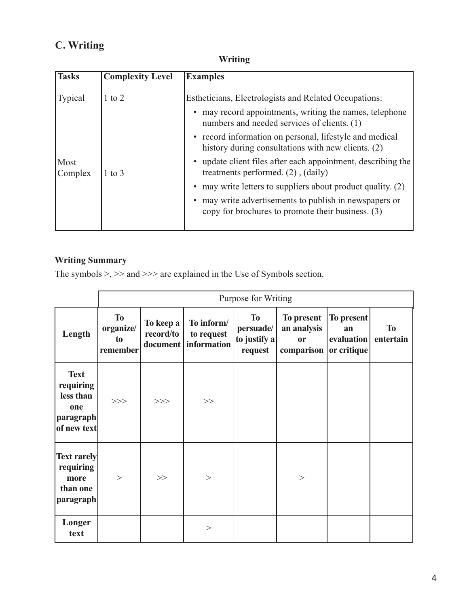## **C. Writing**

### **Writing**

| <b>Complexity Level</b> | <b>Examples</b>                                                                                                                                               |
|-------------------------|---------------------------------------------------------------------------------------------------------------------------------------------------------------|
| 1 to 2                  | Estheticians, Electrologists and Related Occupations:<br>may record appointments, writing the names, telephone<br>numbers and needed services of clients. (1) |
|                         | • record information on personal, lifestyle and medical<br>history during consultations with new clients. (2)                                                 |
| 1 to 3                  | • update client files after each appointment, describing the<br>treatments performed. $(2)$ , $(daily)$                                                       |
|                         | • may write letters to suppliers about product quality. (2)                                                                                                   |
|                         | • may write advertisements to publish in newspapers or<br>copy for brochures to promote their business. (3)                                                   |
|                         |                                                                                                                                                               |

### **Writing Summary**

|                                                                            |                                          | Purpose for Writing    |                                                    |                                                   |                                                                  |                                |                        |  |  |
|----------------------------------------------------------------------------|------------------------------------------|------------------------|----------------------------------------------------|---------------------------------------------------|------------------------------------------------------------------|--------------------------------|------------------------|--|--|
| Length                                                                     | <b>To</b><br>organize/<br>to<br>remember | To keep a<br>record/to | To inform/<br>to request<br>document   information | <b>To</b><br>persuade/<br>to justify a<br>request | To present<br>an analysis<br><b>or</b><br>comparison or critique | To present<br>an<br>evaluation | <b>To</b><br>entertain |  |  |
| <b>Text</b><br>requiring<br>less than<br>one<br> paragraph <br>of new text | >>                                       | >>                     | >>                                                 |                                                   |                                                                  |                                |                        |  |  |
| <b>Text rarely</b><br>requiring<br>more<br>than one<br>paragraph           | $\geq$                                   | >>                     | $\rm{>}$                                           |                                                   | $\rm{>}$                                                         |                                |                        |  |  |
| Longer<br>text                                                             |                                          |                        | >                                                  |                                                   |                                                                  |                                |                        |  |  |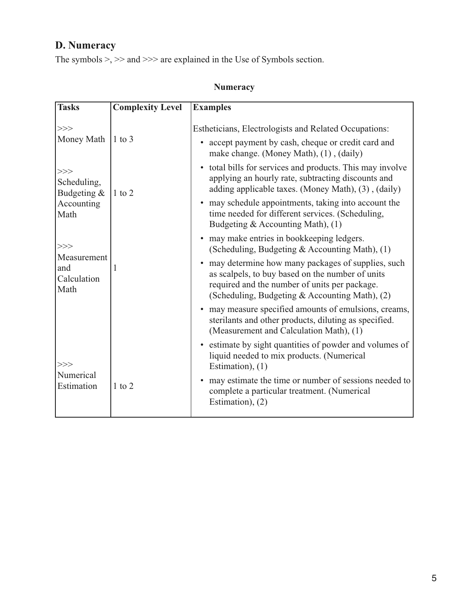## **D. Numeracy**

|  | <b>Numeracy</b> |  |  |  |
|--|-----------------|--|--|--|
|--|-----------------|--|--|--|

| <b>Tasks</b>                                   | <b>Complexity Level</b> | <b>Examples</b>                                                                                                                                                                                            |
|------------------------------------------------|-------------------------|------------------------------------------------------------------------------------------------------------------------------------------------------------------------------------------------------------|
| >><br>Money Math                               | $1$ to 3                | <b>Estheticians, Electrologists and Related Occupations:</b><br>accept payment by cash, cheque or credit card and<br>make change. (Money Math), (1), (daily)                                               |
| >>><br>Scheduling,<br>Budgeting &              | 1 to 2                  | • total bills for services and products. This may involve<br>applying an hourly rate, subtracting discounts and<br>adding applicable taxes. (Money Math), (3), (daily)                                     |
| Accounting<br>Math                             |                         | • may schedule appointments, taking into account the<br>time needed for different services. (Scheduling,<br>Budgeting & Accounting Math), (1)                                                              |
| >>>                                            |                         | • may make entries in bookkeeping ledgers.<br>(Scheduling, Budgeting & Accounting Math), (1)                                                                                                               |
| Measurement<br>and<br>1<br>Calculation<br>Math |                         | • may determine how many packages of supplies, such<br>as scalpels, to buy based on the number of units<br>required and the number of units per package.<br>(Scheduling, Budgeting & Accounting Math), (2) |
|                                                |                         | • may measure specified amounts of emulsions, creams,<br>sterilants and other products, diluting as specified.<br>(Measurement and Calculation Math), (1)                                                  |
| >>>                                            |                         | • estimate by sight quantities of powder and volumes of<br>liquid needed to mix products. (Numerical<br>Estimation), $(1)$                                                                                 |
| Numerical<br>Estimation                        | $1$ to $2$              | • may estimate the time or number of sessions needed to<br>complete a particular treatment. (Numerical<br>Estimation), (2)                                                                                 |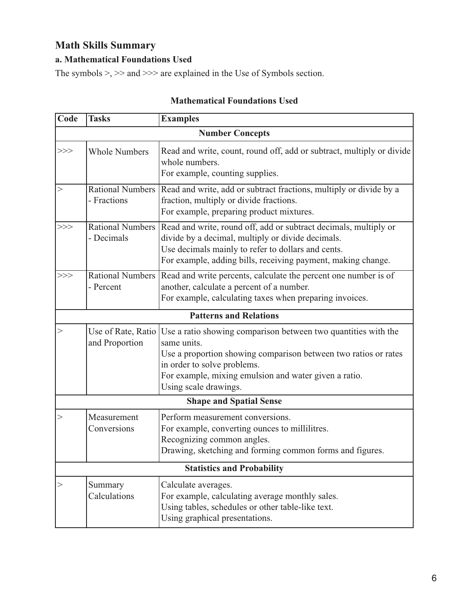### **Math Skills Summary**

### **a. Mathematical Foundations Used**

The symbols >, >> and >>> are explained in the Use of Symbols section.

| Code | <b>Tasks</b>                         | <b>Examples</b>                                                                                                                                                                                                                                                   |
|------|--------------------------------------|-------------------------------------------------------------------------------------------------------------------------------------------------------------------------------------------------------------------------------------------------------------------|
|      |                                      | <b>Number Concepts</b>                                                                                                                                                                                                                                            |
|      | <b>Whole Numbers</b>                 | Read and write, count, round off, add or subtract, multiply or divide<br>whole numbers.<br>For example, counting supplies.                                                                                                                                        |
|      | Rational Numbers<br>- Fractions      | Read and write, add or subtract fractions, multiply or divide by a<br>fraction, multiply or divide fractions.<br>For example, preparing product mixtures.                                                                                                         |
| >>>  | - Decimals                           | Rational Numbers   Read and write, round off, add or subtract decimals, multiply or<br>divide by a decimal, multiply or divide decimals.<br>Use decimals mainly to refer to dollars and cents.<br>For example, adding bills, receiving payment, making change.    |
| >>>  | Rational Numbers<br>- Percent        | Read and write percents, calculate the percent one number is of<br>another, calculate a percent of a number.<br>For example, calculating taxes when preparing invoices.                                                                                           |
|      |                                      | <b>Patterns and Relations</b>                                                                                                                                                                                                                                     |
| >    | Use of Rate, Ratio<br>and Proportion | Use a ratio showing comparison between two quantities with the<br>same units.<br>Use a proportion showing comparison between two ratios or rates<br>in order to solve problems.<br>For example, mixing emulsion and water given a ratio.<br>Using scale drawings. |
|      |                                      | <b>Shape and Spatial Sense</b>                                                                                                                                                                                                                                    |
| >    | Measurement<br>Conversions           | Perform measurement conversions.<br>For example, converting ounces to millilitres.<br>Recognizing common angles.<br>Drawing, sketching and forming common forms and figures.                                                                                      |
|      |                                      | <b>Statistics and Probability</b>                                                                                                                                                                                                                                 |
| >    | Summary<br>Calculations              | Calculate averages.<br>For example, calculating average monthly sales.<br>Using tables, schedules or other table-like text.<br>Using graphical presentations.                                                                                                     |

### **Mathematical Foundations Used**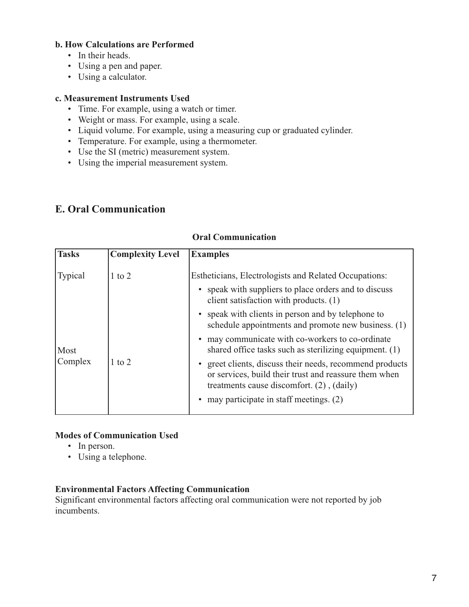#### **b. How Calculations are Performed**

- In their heads.
- Using a pen and paper.
- Using a calculator.

#### **c. Measurement Instruments Used**

- Time. For example, using a watch or timer.
- Weight or mass. For example, using a scale.
- Liquid volume. For example, using a measuring cup or graduated cylinder.
- Temperature. For example, using a thermometer.
- Use the SI (metric) measurement system.
- Using the imperial measurement system.

### **E. Oral Communication**

| Tasks           | <b>Complexity Level</b> | <b>Examples</b>                                                                                                                                                   |
|-----------------|-------------------------|-------------------------------------------------------------------------------------------------------------------------------------------------------------------|
| Typical         | $1$ to $2$              | Estheticians, Electrologists and Related Occupations:                                                                                                             |
|                 |                         | speak with suppliers to place orders and to discuss<br>client satisfaction with products. (1)                                                                     |
| Most<br>Complex |                         | speak with clients in person and by telephone to<br>schedule appointments and promote new business. (1)                                                           |
|                 |                         | may communicate with co-workers to co-ordinate<br>shared office tasks such as sterilizing equipment. (1)                                                          |
|                 | $1$ to $2$              | greet clients, discuss their needs, recommend products<br>or services, build their trust and reassure them when<br>treatments cause discomfort. $(2)$ , $(daily)$ |
|                 |                         | may participate in staff meetings. (2)                                                                                                                            |

#### **Oral Communication**

#### **Modes of Communication Used**

- In person.
- Using a telephone.

#### **Environmental Factors Affecting Communication**

Significant environmental factors affecting oral communication were not reported by job incumbents.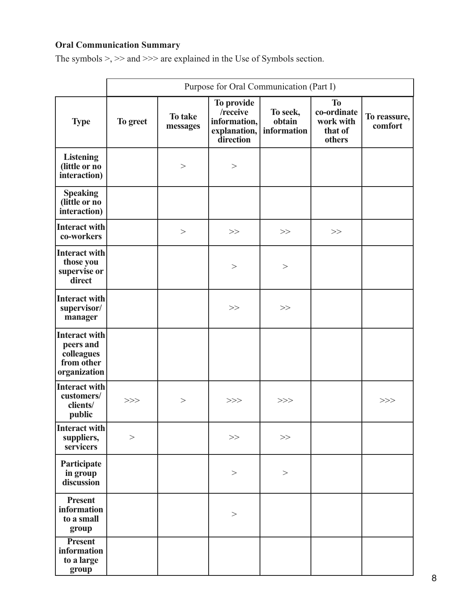### **Oral Communication Summary**

|                                                                        | Purpose for Oral Communication (Part I) |                     |                                                                     |                                   |                                                            |                         |
|------------------------------------------------------------------------|-----------------------------------------|---------------------|---------------------------------------------------------------------|-----------------------------------|------------------------------------------------------------|-------------------------|
| <b>Type</b>                                                            | To greet                                | To take<br>messages | To provide<br>/receive<br>information,<br>explanation,<br>direction | To seek,<br>obtain<br>information | <b>To</b><br>co-ordinate<br>work with<br>that of<br>others | To reassure,<br>comfort |
| <b>Listening</b><br>(little or no<br>interaction)                      |                                         | >                   | $\,>$                                                               |                                   |                                                            |                         |
| <b>Speaking</b><br>(little or no<br>interaction)                       |                                         |                     |                                                                     |                                   |                                                            |                         |
| <b>Interact with</b><br>co-workers                                     |                                         | >                   | >>                                                                  | >>                                | >>                                                         |                         |
| <b>Interact with</b><br>those you<br>supervise or<br>direct            |                                         |                     | >                                                                   | $\rm{>}$                          |                                                            |                         |
| <b>Interact with</b><br>supervisor/<br>manager                         |                                         |                     | >>                                                                  | >>                                |                                                            |                         |
| Interact with<br>peers and<br>colleagues<br>from other<br>organization |                                         |                     |                                                                     |                                   |                                                            |                         |
| <b>Interact with</b><br>customers/<br>clients/<br>public               | $>>>$                                   | >                   | >>>                                                                 | >>                                |                                                            | >>>                     |
| Interact with<br>suppliers,<br>servicers                               | $\,>$                                   |                     | >>                                                                  | >>                                |                                                            |                         |
| Participate<br>in group<br>discussion                                  |                                         |                     | $\,>$                                                               | $\,>$                             |                                                            |                         |
| <b>Present</b><br>information<br>to a small<br>group                   |                                         |                     | $\,>$                                                               |                                   |                                                            |                         |
| <b>Present</b><br>information<br>to a large<br>group                   |                                         |                     |                                                                     |                                   |                                                            |                         |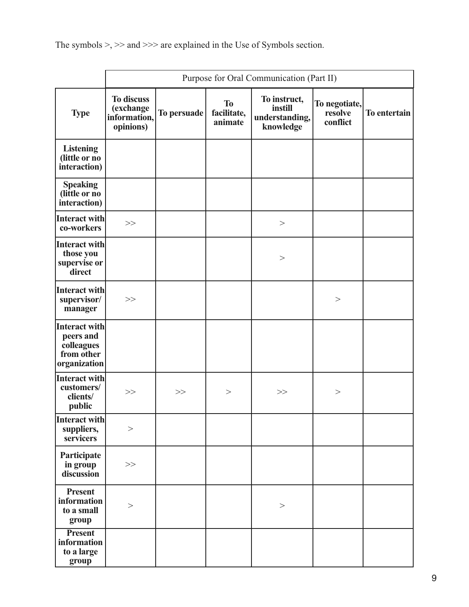|                                                                        | Purpose for Oral Communication (Part II)                    |             |                                     |                                                        |                                      |              |
|------------------------------------------------------------------------|-------------------------------------------------------------|-------------|-------------------------------------|--------------------------------------------------------|--------------------------------------|--------------|
| <b>Type</b>                                                            | <b>To discuss</b><br>(exchange<br>information,<br>opinions) | To persuade | <b>To</b><br>facilitate,<br>animate | To instruct,<br>instill<br>understanding,<br>knowledge | To negotiate,<br>resolve<br>conflict | To entertain |
| <b>Listening</b><br>(little or no<br>interaction)                      |                                                             |             |                                     |                                                        |                                      |              |
| <b>Speaking</b><br>(little or no<br>interaction)                       |                                                             |             |                                     |                                                        |                                      |              |
| Interact with<br>co-workers                                            | $>>$                                                        |             |                                     | $\,>$                                                  |                                      |              |
| Interact with<br>those you<br>supervise or<br>direct                   |                                                             |             |                                     | >                                                      |                                      |              |
| Interact with<br>supervisor/<br>manager                                | >>                                                          |             |                                     |                                                        | >                                    |              |
| Interact with<br>peers and<br>colleagues<br>from other<br>organization |                                                             |             |                                     |                                                        |                                      |              |
| Interact with<br>customers/<br>clients/<br>public                      | >>                                                          | >>          | >                                   | >>                                                     | >                                    |              |
| Interact with<br>suppliers,<br>servicers                               | >                                                           |             |                                     |                                                        |                                      |              |
| Participate<br>in group<br>discussion                                  | $>>$                                                        |             |                                     |                                                        |                                      |              |
| <b>Present</b><br>information<br>to a small<br>group                   | $>$                                                         |             |                                     | $\,>$                                                  |                                      |              |
| <b>Present</b><br>information<br>to a large<br>group                   |                                                             |             |                                     |                                                        |                                      |              |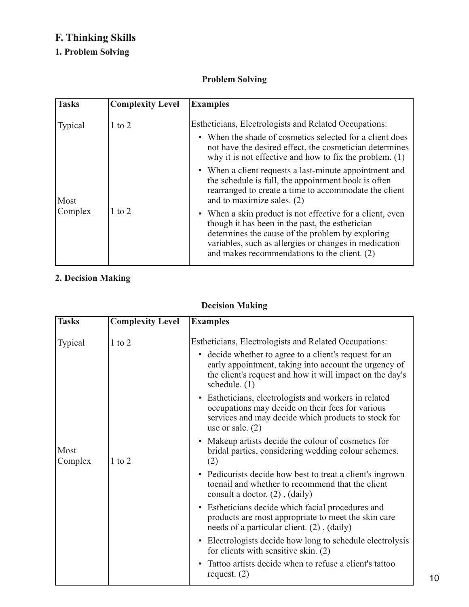## **F. Thinking Skills**

### **1. Problem Solving**

### **Problem Solving**

| <b>Tasks</b> | <b>Complexity Level</b> | <b>Examples</b>                                                                                                                                                                                                                                                           |
|--------------|-------------------------|---------------------------------------------------------------------------------------------------------------------------------------------------------------------------------------------------------------------------------------------------------------------------|
| Typical      | $1$ to $2$              | Estheticians, Electrologists and Related Occupations:<br>• When the shade of cosmetics selected for a client does<br>not have the desired effect, the cosmetician determines<br>why it is not effective and how to fix the problem. $(1)$                                 |
| Most         |                         | • When a client requests a last-minute appointment and<br>the schedule is full, the appointment book is often<br>rearranged to create a time to accommodate the client<br>and to maximize sales. (2)                                                                      |
| Complex      | $1$ to $2$              | • When a skin product is not effective for a client, even<br>though it has been in the past, the esthetician<br>determines the cause of the problem by exploring<br>variables, such as allergies or changes in medication<br>and makes recommendations to the client. (2) |

### **2. Decision Making**

### **Decision Making**

| <b>Tasks</b>    | <b>Complexity Level</b> | <b>Examples</b>                                                                                                                                                                                |
|-----------------|-------------------------|------------------------------------------------------------------------------------------------------------------------------------------------------------------------------------------------|
| Typical         | $1$ to $2$              | Estheticians, Electrologists and Related Occupations:                                                                                                                                          |
|                 |                         | • decide whether to agree to a client's request for an<br>early appointment, taking into account the urgency of<br>the client's request and how it will impact on the day's<br>schedule. $(1)$ |
|                 |                         | • Estheticians, electrologists and workers in related<br>occupations may decide on their fees for various<br>services and may decide which products to stock for<br>use or sale. $(2)$         |
| Most<br>Complex | $1$ to $2$              | Makeup artists decide the colour of cosmetics for<br>$\bullet$<br>bridal parties, considering wedding colour schemes.<br>(2)                                                                   |
|                 |                         | • Pedicurists decide how best to treat a client's ingrown<br>toenail and whether to recommend that the client<br>consult a doctor. $(2)$ , $(daily)$                                           |
|                 |                         | • Estheticians decide which facial procedures and<br>products are most appropriate to meet the skin care<br>needs of a particular client. (2), (daily)                                         |
|                 |                         | • Electrologists decide how long to schedule electrolysis<br>for clients with sensitive skin. (2)                                                                                              |
|                 |                         | Tattoo artists decide when to refuse a client's tattoo<br>request. $(2)$                                                                                                                       |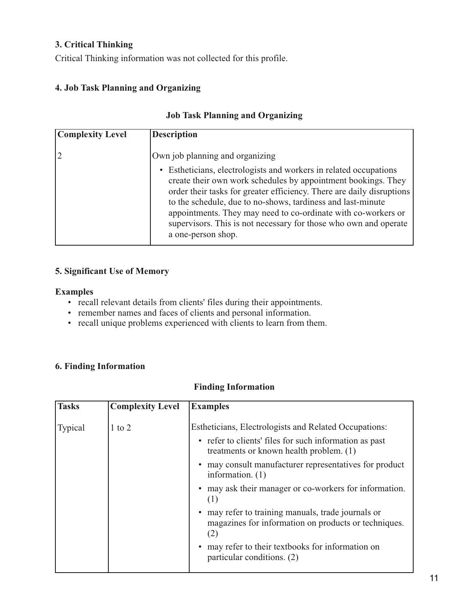#### **3. Critical Thinking**

Critical Thinking information was not collected for this profile.

#### **4. Job Task Planning and Organizing**

#### **Job Task Planning and Organizing**

| <b>Complexity Level</b> | <b>Description</b>                                                                                                                                                                                                                                                                                                                                                                                                                    |
|-------------------------|---------------------------------------------------------------------------------------------------------------------------------------------------------------------------------------------------------------------------------------------------------------------------------------------------------------------------------------------------------------------------------------------------------------------------------------|
|                         | Own job planning and organizing                                                                                                                                                                                                                                                                                                                                                                                                       |
|                         | • Estheticians, electrologists and workers in related occupations<br>create their own work schedules by appointment bookings. They<br>order their tasks for greater efficiency. There are daily disruptions<br>to the schedule, due to no-shows, tardiness and last-minute<br>appointments. They may need to co-ordinate with co-workers or<br>supervisors. This is not necessary for those who own and operate<br>a one-person shop. |

### **5. Significant Use of Memory**

#### **Examples**

- recall relevant details from clients' files during their appointments.
- remember names and faces of clients and personal information.
- recall unique problems experienced with clients to learn from them.

#### **6. Finding Information**

#### **Finding Information**

| <b>Tasks</b> | <b>Complexity Level</b> | <b>Examples</b>                                                                                                                                            |
|--------------|-------------------------|------------------------------------------------------------------------------------------------------------------------------------------------------------|
| Typical      | $1$ to $2$              | Estheticians, Electrologists and Related Occupations:<br>• refer to clients' files for such information as past<br>treatments or known health problem. (1) |
|              |                         | may consult manufacturer representatives for product<br>information. $(1)$                                                                                 |
|              |                         | may ask their manager or co-workers for information.<br>(1)                                                                                                |
|              |                         | may refer to training manuals, trade journals or<br>magazines for information on products or techniques.<br>(2)                                            |
|              |                         | may refer to their textbooks for information on<br>particular conditions. (2)                                                                              |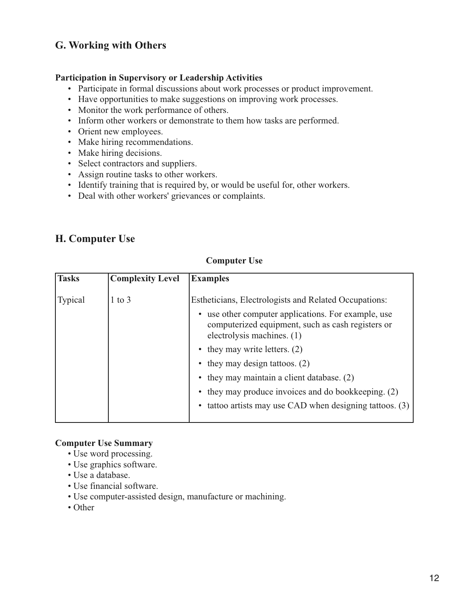### **G. Working with Others**

#### **Participation in Supervisory or Leadership Activities**

- Participate in formal discussions about work processes or product improvement.
- Have opportunities to make suggestions on improving work processes.
- Monitor the work performance of others.
- Inform other workers or demonstrate to them how tasks are performed.
- Orient new employees.
- Make hiring recommendations.
- Make hiring decisions.
- Select contractors and suppliers.
- Assign routine tasks to other workers.
- Identify training that is required by, or would be useful for, other workers.
- Deal with other workers' grievances or complaints.

### **H. Computer Use**

#### **Computer Use**

| <b>Tasks</b>   | <b>Complexity Level</b> | <b>Examples</b>                                                                                                                                   |
|----------------|-------------------------|---------------------------------------------------------------------------------------------------------------------------------------------------|
| <b>Typical</b> | to $3$                  | Estheticians, Electrologists and Related Occupations:                                                                                             |
|                |                         | use other computer applications. For example, use<br>$\bullet$<br>computerized equipment, such as cash registers or<br>electrolysis machines. (1) |
|                |                         | • they may write letters. $(2)$                                                                                                                   |
|                |                         | • they may design tattoos. $(2)$                                                                                                                  |
|                |                         | • they may maintain a client database. (2)                                                                                                        |
|                |                         | • they may produce invoices and do bookkeeping. (2)                                                                                               |
|                |                         | tattoo artists may use CAD when designing tattoos. (3)                                                                                            |
|                |                         |                                                                                                                                                   |

#### **Computer Use Summary**

- Use word processing.
- Use graphics software.
- Use a database.
- Use financial software.
- Use computer-assisted design, manufacture or machining.
- Other